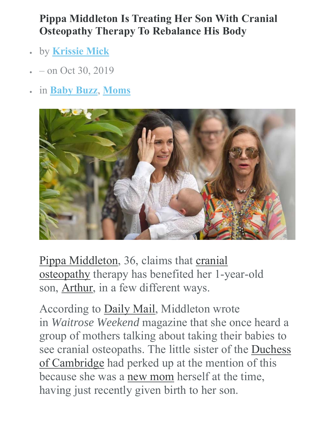## **Pippa Middleton Is Treating Her Son With Cranial Osteopathy Therapy To Rebalance His Body**

- by **Krissie Mick**
- on Oct 30, 2019
- in **Baby Buzz**, **Moms**



Pippa Middleton, 36, claims that cranial osteopathy therapy has benefited her 1-year-old son, Arthur, in a few different ways.

According to Daily Mail, Middleton wrote in *Waitrose Weekend* magazine that she once heard a group of mothers talking about taking their babies to see cranial osteopaths. The little sister of the Duchess of Cambridge had perked up at the mention of this because she was a new mom herself at the time, having just recently given birth to her son.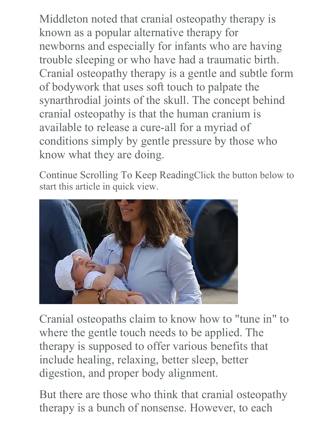Middleton noted that cranial osteopathy therapy is known as a popular alternative therapy for newborns and especially for infants who are having trouble sleeping or who have had a traumatic birth. Cranial osteopathy therapy is a gentle and subtle form of bodywork that uses soft touch to palpate the synarthrodial joints of the skull. The concept behind cranial osteopathy is that the human cranium is available to release a cure-all for a myriad of conditions simply by gentle pressure by those who know what they are doing.

Continue Scrolling To Keep ReadingClick the button below to start this article in quick view.



Cranial osteopaths claim to know how to "tune in" to where the gentle touch needs to be applied. The therapy is supposed to offer various benefits that include healing, relaxing, better sleep, better digestion, and proper body alignment.

But there are those who think that cranial osteopathy therapy is a bunch of nonsense. However, to each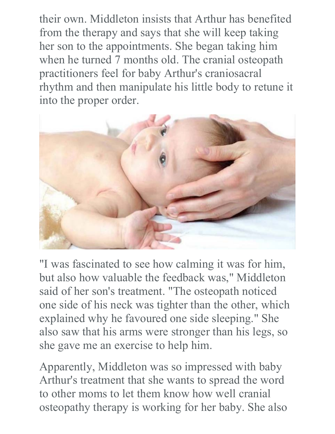their own. Middleton insists that Arthur has benefited from the therapy and says that she will keep taking her son to the appointments. She began taking him when he turned 7 months old. The cranial osteopath practitioners feel for baby Arthur's craniosacral rhythm and then manipulate his little body to retune it into the proper order.



"I was fascinated to see how calming it was for him, but also how valuable the feedback was," Middleton said of her son's treatment. "The osteopath noticed one side of his neck was tighter than the other, which explained why he favoured one side sleeping." She also saw that his arms were stronger than his legs, so she gave me an exercise to help him.

Apparently, Middleton was so impressed with baby Arthur's treatment that she wants to spread the word to other moms to let them know how well cranial osteopathy therapy is working for her baby. She also